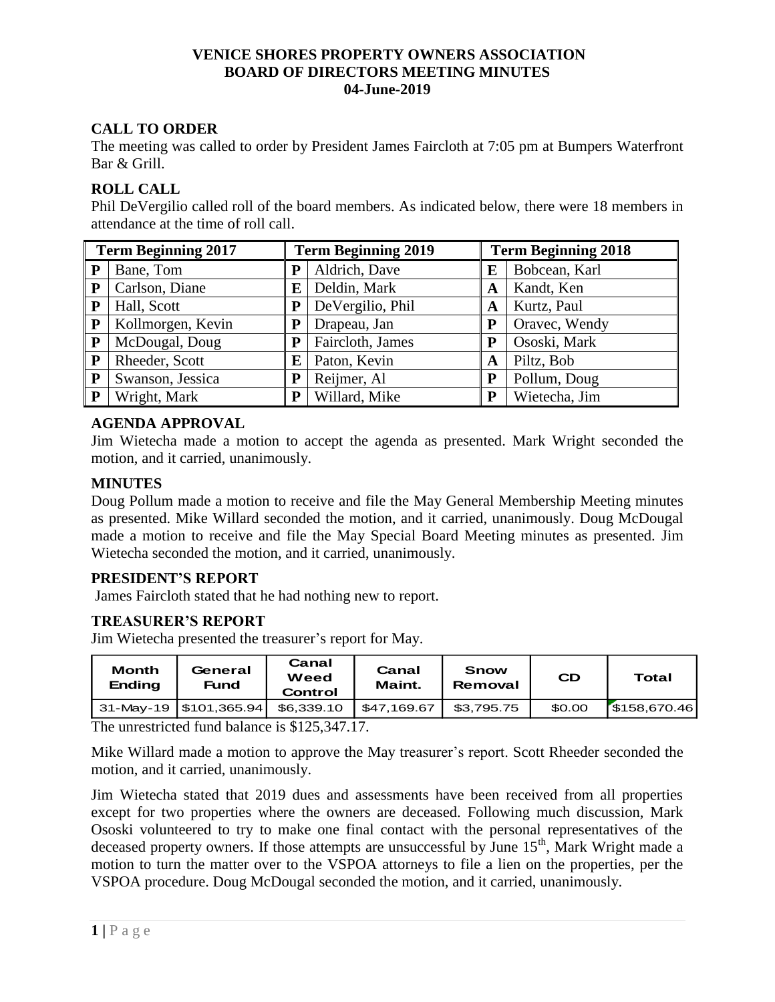## **VENICE SHORES PROPERTY OWNERS ASSOCIATION BOARD OF DIRECTORS MEETING MINUTES 04-June-2019**

# **CALL TO ORDER**

The meeting was called to order by President James Faircloth at 7:05 pm at Bumpers Waterfront Bar & Grill.

# **ROLL CALL**

Phil DeVergilio called roll of the board members. As indicated below, there were 18 members in attendance at the time of roll call.

| <b>Term Beginning 2017</b> |                   | <b>Term Beginning 2019</b> |                  | <b>Term Beginning 2018</b> |               |  |
|----------------------------|-------------------|----------------------------|------------------|----------------------------|---------------|--|
| P                          | Bane, Tom         | Р                          | Aldrich, Dave    | E                          | Bobcean, Karl |  |
| ${\bf P}$                  | Carlson, Diane    | ${\bf E}$                  | Deldin, Mark     | A                          | Kandt, Ken    |  |
| P                          | Hall, Scott       | ${\bf P}$                  | DeVergilio, Phil | A                          | Kurtz, Paul   |  |
| P                          | Kollmorgen, Kevin | P                          | Drapeau, Jan     | P                          | Oravec, Wendy |  |
| P                          | McDougal, Doug    | Р                          | Faircloth, James |                            | Ososki, Mark  |  |
| ${\bf P}$                  | Rheeder, Scott    | E                          | Paton, Kevin     | A                          | Piltz, Bob    |  |
| $\mathbf{P}$               | Swanson, Jessica  | P                          | Reijmer, Al      | P                          | Pollum, Doug  |  |
| P                          | Wright, Mark      | P                          | Willard, Mike    | P                          | Wietecha, Jim |  |

# **AGENDA APPROVAL**

Jim Wietecha made a motion to accept the agenda as presented. Mark Wright seconded the motion, and it carried, unanimously.

### **MINUTES**

Doug Pollum made a motion to receive and file the May General Membership Meeting minutes as presented. Mike Willard seconded the motion, and it carried, unanimously. Doug McDougal made a motion to receive and file the May Special Board Meeting minutes as presented. Jim Wietecha seconded the motion, and it carried, unanimously.

### **PRESIDENT'S REPORT**

James Faircloth stated that he had nothing new to report.

### **TREASURER'S REPORT**

Jim Wietecha presented the treasurer's report for May.

| Month<br><b>Ending</b> | General<br><b>Fund</b>   | Canal<br>Weed<br>Control | Canal<br>Maint. | Snow<br>Removal | <b>CD</b> | Total       |
|------------------------|--------------------------|--------------------------|-----------------|-----------------|-----------|-------------|
|                        | 31-May-19   \$101,365.94 | \$6,339.10               | \$47.169.67     | \$3.795.75      | \$0.00    | 5158,670.46 |

The unrestricted fund balance is \$125,347.17.

Mike Willard made a motion to approve the May treasurer's report. Scott Rheeder seconded the motion, and it carried, unanimously.

Jim Wietecha stated that 2019 dues and assessments have been received from all properties except for two properties where the owners are deceased. Following much discussion, Mark Ososki volunteered to try to make one final contact with the personal representatives of the deceased property owners. If those attempts are unsuccessful by June  $15<sup>th</sup>$ , Mark Wright made a motion to turn the matter over to the VSPOA attorneys to file a lien on the properties, per the VSPOA procedure. Doug McDougal seconded the motion, and it carried, unanimously.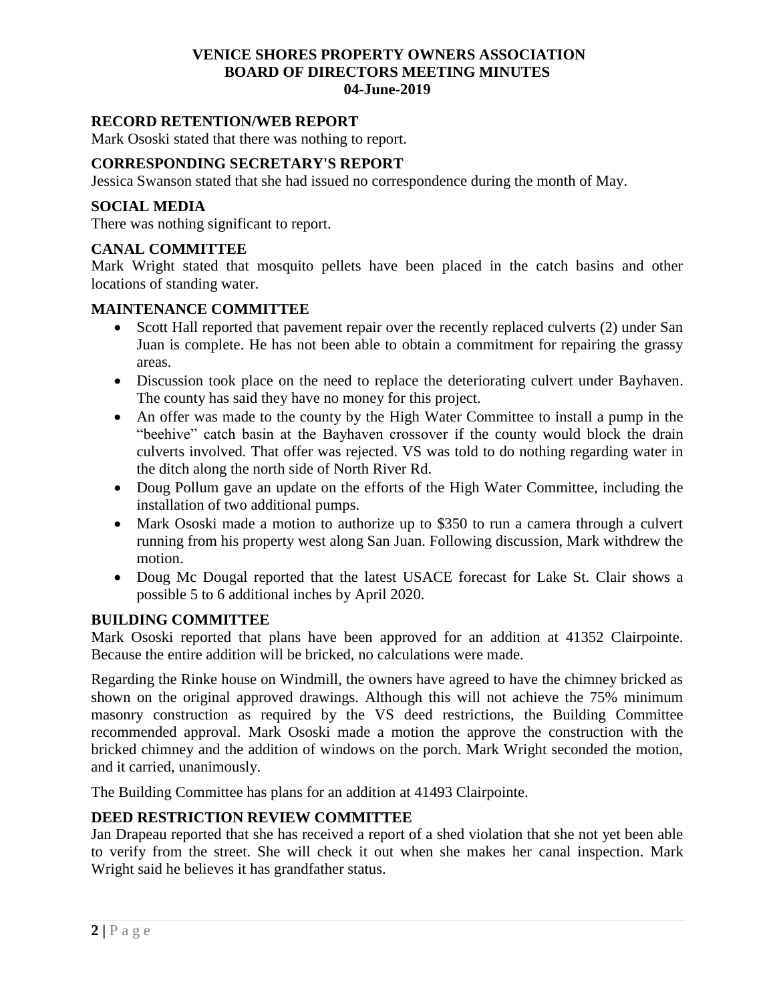## **VENICE SHORES PROPERTY OWNERS ASSOCIATION BOARD OF DIRECTORS MEETING MINUTES 04-June-2019**

#### **RECORD RETENTION/WEB REPORT**

Mark Ososki stated that there was nothing to report.

#### **CORRESPONDING SECRETARY'S REPORT**

Jessica Swanson stated that she had issued no correspondence during the month of May.

#### **SOCIAL MEDIA**

There was nothing significant to report.

#### **CANAL COMMITTEE**

Mark Wright stated that mosquito pellets have been placed in the catch basins and other locations of standing water.

#### **MAINTENANCE COMMITTEE**

- Scott Hall reported that pavement repair over the recently replaced culverts (2) under San Juan is complete. He has not been able to obtain a commitment for repairing the grassy areas.
- Discussion took place on the need to replace the deteriorating culvert under Bayhaven. The county has said they have no money for this project.
- An offer was made to the county by the High Water Committee to install a pump in the "beehive" catch basin at the Bayhaven crossover if the county would block the drain culverts involved. That offer was rejected. VS was told to do nothing regarding water in the ditch along the north side of North River Rd.
- Doug Pollum gave an update on the efforts of the High Water Committee, including the installation of two additional pumps.
- Mark Ososki made a motion to authorize up to \$350 to run a camera through a culvert running from his property west along San Juan. Following discussion, Mark withdrew the motion.
- Doug Mc Dougal reported that the latest USACE forecast for Lake St. Clair shows a possible 5 to 6 additional inches by April 2020.

#### **BUILDING COMMITTEE**

Mark Ososki reported that plans have been approved for an addition at 41352 Clairpointe. Because the entire addition will be bricked, no calculations were made.

Regarding the Rinke house on Windmill, the owners have agreed to have the chimney bricked as shown on the original approved drawings. Although this will not achieve the 75% minimum masonry construction as required by the VS deed restrictions, the Building Committee recommended approval. Mark Ososki made a motion the approve the construction with the bricked chimney and the addition of windows on the porch. Mark Wright seconded the motion, and it carried, unanimously.

The Building Committee has plans for an addition at 41493 Clairpointe.

#### **DEED RESTRICTION REVIEW COMMITTEE**

Jan Drapeau reported that she has received a report of a shed violation that she not yet been able to verify from the street. She will check it out when she makes her canal inspection. Mark Wright said he believes it has grandfather status.